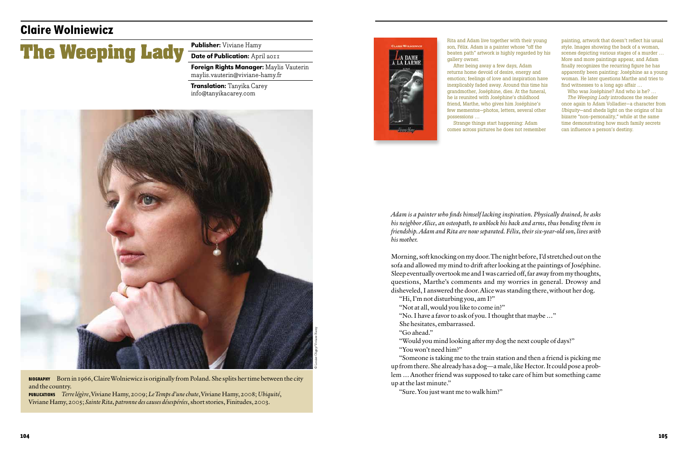

## **The Weeping Lady**

## **Claire Wolniewicz**

Publisher: Viviane Hamy

Date of Publication: April 2011

Foreign Rights Manager: Maylis Vauterin maylis.vauterin@viviane-hamy.fr

BIOGRAPHY Born in 1966, Claire Wolniewicz is originally from Poland. She splits her time between the city and the country.

Translation: Tanyika Carey info@tanyikacarey.com

Publications *Terre légère*, Viviane Hamy, 2009; *Le Temps d'une chute*, Viviane Hamy, 2008; *Ubiquité*, Viviane Hamy, 2005; *Sainte Rita, patronne des causes désespérées*, short stories, Finitudes, 2003.



*Adam is a painter who finds himself lacking inspiration. Physically drained, he asks his neighbor Alice, an osteopath, to unblock his back and arms, thus bonding them in friendship. Adam and Rita are now separated. Félix, their six-year-old son, lives with his mother.*

Morning, soft knocking on my door. The night before, I'd stretched out on the sofa and allowed my mind to drift after looking at the paintings of Joséphine. Sleep eventually overtook me and I was carried off, far away from my thoughts, questions, Marthe's comments and my worries in general. Drowsy and disheveled, I answered the door. Alice was standing there, without her dog.

"Hi, I'm not disturbing you, am I?"

"Not at all, would you like to come in?"

"No. I have a favor to ask of you. I thought that maybe …" She hesitates, embarrassed.

"Go ahead."

"Would you mind looking after my dog the next couple of days?" "You won't need him?"

"Someone is taking me to the train station and then a friend is picking me up from there. She already has a dog—a male, like Hector. It could pose a problem … Another friend was supposed to take care of him but something came up at the last minute."

"Sure. You just want me to walk him?"

Rita and Adam live together with their young son, Félix. Adam is a painter whose "off the beaten path" artwork is highly regarded by his gallery owner.

After being away a few days, Adam returns home devoid of desire, energy and emotion; feelings of love and inspiration have inexplicably faded away. Around this time his grandmother, Joséphine, dies. At the funeral, he is reunited with Joséphine's childhood friend, Marthe, who gives him Joséphine's few mementos—photos, letters, several other possessions …

Strange things start happening: Adam comes across pictures he does not remember

painting, artwork that doesn't reflect his usual style. Images showing the back of a woman, scenes depicting various stages of a murder … More and more paintings appear, and Adam finally recognizes the recurring figure he has apparently been painting: Joséphine as a young woman. He later questions Marthe and tries to find witnesses to a long ago affair …

Who was Joséphine? And who is he? … *The Weeping Lady* introduces the reader once again to Adam Volladier—a character from *Ubiquity*—and sheds light on the origins of his bizarre "non-personality," while at the same time demonstrating how much family secrets can influence a person's destiny.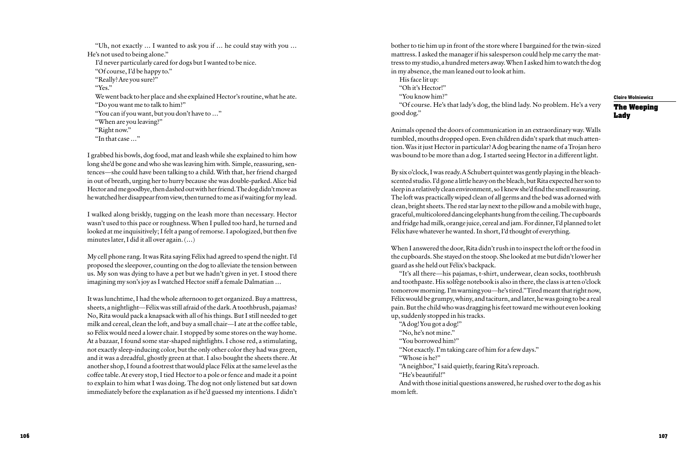"Uh, not exactly … I wanted to ask you if … he could stay with you … He's not used to being alone." I'd never particularly cared for dogs but I wanted to be nice. "Of course, I'd be happy to." "Really? Are you sure?" "Yes." We went back to her place and she explained Hector's routine, what he ate. "Do you want me to talk to him?" "You can if you want, but you don't have to …" "When are you leaving?" "Right now." "In that case …"

I grabbed his bowls, dog food, mat and leash while she explained to him how long she'd be gone and who she was leaving him with. Simple, reassuring, sentences—she could have been talking to a child. With that, her friend charged in out of breath, urging her to hurry because she was double-parked. Alice bid Hector and me goodbye, then dashed out with her friend. The dog didn't move as he watched her disappear from view, then turned to me as if waiting for my lead.

I walked along briskly, tugging on the leash more than necessary. Hector wasn't used to this pace or roughness. When I pulled too hard, he turned and looked at me inquisitively; I felt a pang of remorse. I apologized, but then five minutes later, I did it all over again. (…)

My cell phone rang. It was Rita saying Félix had agreed to spend the night. I'd proposed the sleepover, counting on the dog to alleviate the tension between us. My son was dying to have a pet but we hadn't given in yet. I stood there imagining my son's joy as I watched Hector sniff a female Dalmatian …

It was lunchtime, I had the whole afternoon to get organized. Buy a mattress, sheets, a nightlight—Félix was still afraid of the dark. A toothbrush, pajamas? No, Rita would pack a knapsack with all of his things. But I still needed to get milk and cereal, clean the loft, and buy a small chair—I ate at the coffee table, so Félix would need a lower chair. I stopped by some stores on the way home. At a bazaar, I found some star-shaped nightlights. I chose red, a stimulating, not exactly sleep-inducing color, but the only other color they had was green, and it was a dreadful, ghostly green at that. I also bought the sheets there. At another shop, I found a footrest that would place Félix at the same level as the coffee table. At every stop, I tied Hector to a pole or fence and made it a point to explain to him what I was doing. The dog not only listened but sat down immediately before the explanation as if he'd guessed my intentions. I didn't **Claire Wolniewicz**

**The Weeping Lady**

bother to tie him up in front of the store where I bargained for the twin-sized mattress. I asked the manager if his salesperson could help me carry the mattress to my studio, a hundred meters away. When I asked him to watch the dog in my absence, the man leaned out to look at him.

His face lit up: "Oh it's Hector!"

"You know him?"

"Of course. He's that lady's dog, the blind lady. No problem. He's a very good dog."

Animals opened the doors of communication in an extraordinary way. Walls tumbled, mouths dropped open. Even children didn't spark that much attention. Was it just Hector in particular? A dog bearing the name of a Trojan hero was bound to be more than a dog. I started seeing Hector in a different light.

By six o'clock, I was ready. A Schubert quintet was gently playing in the bleachscented studio. I'd gone a little heavy on the bleach, but Rita expected her son to sleep in a relatively clean environment, so I knew she'd find the smell reassuring. The loft was practically wiped clean of all germs and the bed was adorned with clean, bright sheets. The red star lay next to the pillow and a mobile with huge, graceful, multicolored dancing elephants hung from the ceiling. The cupboards and fridge had milk, orange juice, cereal and jam. For dinner, I'd planned to let Félix have whatever he wanted. In short, I'd thought of everything.

When I answered the door, Rita didn't rush in to inspect the loft or the food in the cupboards. She stayed on the stoop. She looked at me but didn't lower her guard as she held out Félix's backpack.

"It's all there—his pajamas, t-shirt, underwear, clean socks, toothbrush and toothpaste. His solfège notebook is also in there, the class is at ten o'clock tomorrow morning. I'm warning you—he's tired." Tired meant that right now, Félix would be grumpy, whiny, and taciturn, and later, he was going to be a real pain. But the child who was dragging his feet toward me without even looking up, suddenly stopped in his tracks.

"A dog! You got a dog!" "No, he's not mine." "You borrowed him?" "Not exactly. I'm taking care of him for a few days." "Whose is he?" "A neighbor," I said quietly, fearing Rita's reproach. "He's beautiful!" And with those initial questions answered, he rushed over to the dog as his

mom left.